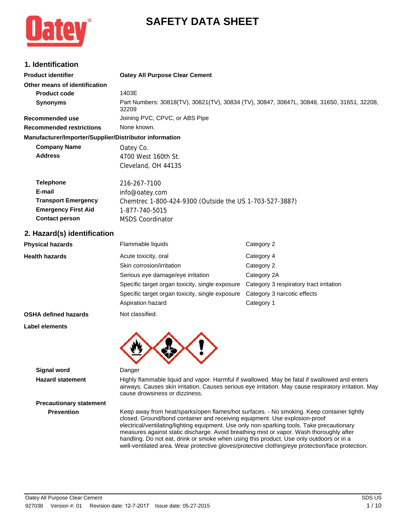# **SAFETY DATA SHEET**

## **1. Identification**

| 1. Identification                                      |                                                                                                                                                                          |                                                                                                                                                                                                        |  |
|--------------------------------------------------------|--------------------------------------------------------------------------------------------------------------------------------------------------------------------------|--------------------------------------------------------------------------------------------------------------------------------------------------------------------------------------------------------|--|
| <b>Product identifier</b>                              | <b>Oatey All Purpose Clear Cement</b>                                                                                                                                    |                                                                                                                                                                                                        |  |
| Other means of identification                          |                                                                                                                                                                          |                                                                                                                                                                                                        |  |
| <b>Product code</b>                                    | 1403E                                                                                                                                                                    |                                                                                                                                                                                                        |  |
| <b>Synonyms</b>                                        | Part Numbers: 30818(TV), 30821(TV), 30834 (TV), 30847, 30847L, 30848, 31650, 31651, 32208,<br>32209                                                                      |                                                                                                                                                                                                        |  |
| <b>Recommended use</b>                                 | Joining PVC, CPVC, or ABS Pipe                                                                                                                                           |                                                                                                                                                                                                        |  |
| <b>Recommended restrictions</b>                        | None known.                                                                                                                                                              |                                                                                                                                                                                                        |  |
| Manufacturer/Importer/Supplier/Distributor information |                                                                                                                                                                          |                                                                                                                                                                                                        |  |
| <b>Company Name</b>                                    | Oatey Co.                                                                                                                                                                |                                                                                                                                                                                                        |  |
| <b>Address</b>                                         | 4700 West 160th St.                                                                                                                                                      |                                                                                                                                                                                                        |  |
|                                                        | Cleveland, OH 44135                                                                                                                                                      |                                                                                                                                                                                                        |  |
| <b>Telephone</b>                                       | 216-267-7100                                                                                                                                                             |                                                                                                                                                                                                        |  |
| E-mail                                                 | info@oatey.com                                                                                                                                                           |                                                                                                                                                                                                        |  |
| <b>Transport Emergency</b>                             | Chemtrec 1-800-424-9300 (Outside the US 1-703-527-3887)                                                                                                                  |                                                                                                                                                                                                        |  |
| <b>Emergency First Aid</b>                             | 1-877-740-5015                                                                                                                                                           |                                                                                                                                                                                                        |  |
| <b>Contact person</b>                                  | <b>MSDS Coordinator</b>                                                                                                                                                  |                                                                                                                                                                                                        |  |
| 2. Hazard(s) identification                            |                                                                                                                                                                          |                                                                                                                                                                                                        |  |
| <b>Physical hazards</b>                                | Flammable liquids                                                                                                                                                        | Category 2                                                                                                                                                                                             |  |
| <b>Health hazards</b>                                  | Acute toxicity, oral                                                                                                                                                     | Category 4                                                                                                                                                                                             |  |
|                                                        | Skin corrosion/irritation                                                                                                                                                | Category 2                                                                                                                                                                                             |  |
|                                                        | Serious eye damage/eye irritation                                                                                                                                        | Category 2A                                                                                                                                                                                            |  |
|                                                        | Specific target organ toxicity, single exposure                                                                                                                          | Category 3 respiratory tract irritation                                                                                                                                                                |  |
|                                                        | Specific target organ toxicity, single exposure                                                                                                                          | Category 3 narcotic effects                                                                                                                                                                            |  |
|                                                        | Aspiration hazard                                                                                                                                                        | Category 1                                                                                                                                                                                             |  |
| <b>OSHA defined hazards</b>                            | Not classified.                                                                                                                                                          |                                                                                                                                                                                                        |  |
| Label elements                                         |                                                                                                                                                                          |                                                                                                                                                                                                        |  |
|                                                        |                                                                                                                                                                          |                                                                                                                                                                                                        |  |
| <b>Signal word</b>                                     | Danger                                                                                                                                                                   |                                                                                                                                                                                                        |  |
| <b>Hazard statement</b>                                | cause drowsiness or dizziness.                                                                                                                                           | Highly flammable liquid and vapor. Harmful if swallowed. May be fatal if swallowed and enters<br>airways. Causes skin irritation. Causes serious eye irritation. May cause respiratory irritation. May |  |
| <b>Precautionary statement</b>                         |                                                                                                                                                                          |                                                                                                                                                                                                        |  |
| <b>Prevention</b>                                      | Keep away from heat/sparks/open flames/hot surfaces. - No smoking. Keep container tightly<br>and Operate the categories and resolved and increased. The evaluation proof |                                                                                                                                                                                                        |  |

closed. Ground/bond container and receiving equipment. Use explosion-proof electrical/ventilating/lighting equipment. Use only non-sparking tools. Take precautionary measures against static discharge. Avoid breathing mist or vapor. Wash thoroughly after handling. Do not eat, drink or smoke when using this product. Use only outdoors or in a well-ventilated area. Wear protective gloves/protective clothing/eye protection/face protection.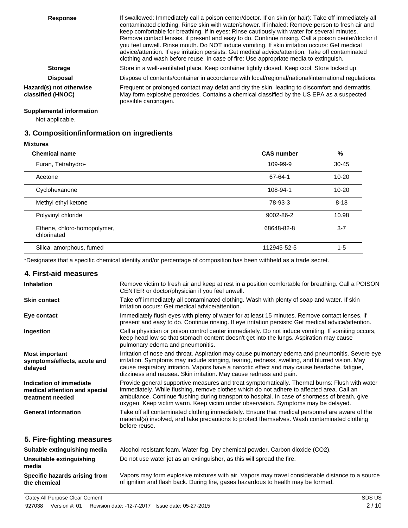| <b>Response</b>                              | If swallowed: Immediately call a poison center/doctor. If on skin (or hair): Take off immediately all<br>contaminated clothing. Rinse skin with water/shower. If inhaled: Remove person to fresh air and<br>keep comfortable for breathing. If in eyes: Rinse cautiously with water for several minutes.<br>Remove contact lenses, if present and easy to do. Continue rinsing. Call a poison center/doctor if<br>you feel unwell. Rinse mouth. Do NOT induce vomiting. If skin irritation occurs: Get medical<br>advice/attention. If eye irritation persists: Get medical advice/attention. Take off contaminated<br>clothing and wash before reuse. In case of fire: Use appropriate media to extinguish. |
|----------------------------------------------|--------------------------------------------------------------------------------------------------------------------------------------------------------------------------------------------------------------------------------------------------------------------------------------------------------------------------------------------------------------------------------------------------------------------------------------------------------------------------------------------------------------------------------------------------------------------------------------------------------------------------------------------------------------------------------------------------------------|
| <b>Storage</b>                               | Store in a well-ventilated place. Keep container tightly closed. Keep cool. Store locked up.                                                                                                                                                                                                                                                                                                                                                                                                                                                                                                                                                                                                                 |
| <b>Disposal</b>                              | Dispose of contents/container in accordance with local/regional/national/international regulations.                                                                                                                                                                                                                                                                                                                                                                                                                                                                                                                                                                                                          |
| Hazard(s) not otherwise<br>classified (HNOC) | Frequent or prolonged contact may defat and dry the skin, leading to discomfort and dermatitis.<br>May form explosive peroxides. Contains a chemical classified by the US EPA as a suspected<br>possible carcinogen.                                                                                                                                                                                                                                                                                                                                                                                                                                                                                         |

## **Supplemental information**

Not applicable.

## **3. Composition/information on ingredients**

**Mixtures**

 $\overline{\phantom{0}}$ 

 $\overline{\phantom{a}}$ 

| <b>Chemical name</b>                       | <b>CAS number</b> | %         |
|--------------------------------------------|-------------------|-----------|
| Furan, Tetrahydro-                         | 109-99-9          | $30 - 45$ |
| Acetone                                    | 67-64-1           | $10 - 20$ |
| Cyclohexanone                              | 108-94-1          | $10 - 20$ |
| Methyl ethyl ketone                        | 78-93-3           | $8 - 18$  |
| Polyvinyl chloride                         | 9002-86-2         | 10.98     |
| Ethene, chloro-homopolymer,<br>chlorinated | 68648-82-8        | $3 - 7$   |
| Silica, amorphous, fumed                   | 112945-52-5       | $1 - 5$   |

\*Designates that a specific chemical identity and/or percentage of composition has been withheld as a trade secret.

## **4. First-aid measures**

| <b>Inhalation</b>                                                            | Remove victim to fresh air and keep at rest in a position comfortable for breathing. Call a POISON<br>CENTER or doctor/physician if you feel unwell.                                                                                                                                                                                                                                |
|------------------------------------------------------------------------------|-------------------------------------------------------------------------------------------------------------------------------------------------------------------------------------------------------------------------------------------------------------------------------------------------------------------------------------------------------------------------------------|
| <b>Skin contact</b>                                                          | Take off immediately all contaminated clothing. Wash with plenty of soap and water. If skin<br>irritation occurs: Get medical advice/attention.                                                                                                                                                                                                                                     |
| Eye contact                                                                  | Immediately flush eyes with plenty of water for at least 15 minutes. Remove contact lenses, if<br>present and easy to do. Continue rinsing. If eye irritation persists: Get medical advice/attention.                                                                                                                                                                               |
| Ingestion                                                                    | Call a physician or poison control center immediately. Do not induce vomiting. If vomiting occurs,<br>keep head low so that stomach content doesn't get into the lungs. Aspiration may cause<br>pulmonary edema and pneumonitis.                                                                                                                                                    |
| <b>Most important</b><br>symptoms/effects, acute and<br>delayed              | Irritation of nose and throat. Aspiration may cause pulmonary edema and pneumonitis. Severe eye<br>irritation. Symptoms may include stinging, tearing, redness, swelling, and blurred vision. May<br>cause respiratory irritation. Vapors have a narcotic effect and may cause headache, fatigue,<br>dizziness and nausea. Skin irritation. May cause redness and pain.             |
| Indication of immediate<br>medical attention and special<br>treatment needed | Provide general supportive measures and treat symptomatically. Thermal burns: Flush with water<br>immediately. While flushing, remove clothes which do not adhere to affected area. Call an<br>ambulance. Continue flushing during transport to hospital. In case of shortness of breath, give<br>oxygen. Keep victim warm. Keep victim under observation. Symptoms may be delayed. |
| <b>General information</b>                                                   | Take off all contaminated clothing immediately. Ensure that medical personnel are aware of the<br>material(s) involved, and take precautions to protect themselves. Wash contaminated clothing<br>before reuse.                                                                                                                                                                     |
| 5. Fire-fighting measures                                                    |                                                                                                                                                                                                                                                                                                                                                                                     |
| Suitable extinguishing media                                                 | Alcohol resistant foam. Water fog. Dry chemical powder. Carbon dioxide (CO2).                                                                                                                                                                                                                                                                                                       |
| Unsuitable extinguishing<br>media                                            | Do not use water jet as an extinguisher, as this will spread the fire.                                                                                                                                                                                                                                                                                                              |

**Specific hazards arising from the chemical**

Vapors may form explosive mixtures with air. Vapors may travel considerable distance to a source of ignition and flash back. During fire, gases hazardous to health may be formed.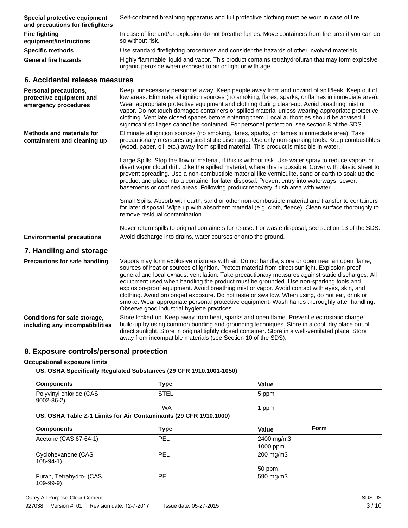| Special protective equipment<br>and precautions for firefighters                 | Self-contained breathing apparatus and full protective clothing must be worn in case of fire.                                                                                                                                                                                                                                                                                                                                                                                                                                                                                                                                                                                                                                                |
|----------------------------------------------------------------------------------|----------------------------------------------------------------------------------------------------------------------------------------------------------------------------------------------------------------------------------------------------------------------------------------------------------------------------------------------------------------------------------------------------------------------------------------------------------------------------------------------------------------------------------------------------------------------------------------------------------------------------------------------------------------------------------------------------------------------------------------------|
| <b>Fire fighting</b><br>equipment/instructions                                   | In case of fire and/or explosion do not breathe fumes. Move containers from fire area if you can do<br>so without risk.                                                                                                                                                                                                                                                                                                                                                                                                                                                                                                                                                                                                                      |
| <b>Specific methods</b>                                                          | Use standard firefighting procedures and consider the hazards of other involved materials.                                                                                                                                                                                                                                                                                                                                                                                                                                                                                                                                                                                                                                                   |
| <b>General fire hazards</b>                                                      | Highly flammable liquid and vapor. This product contains tetrahydrofuran that may form explosive<br>organic peroxide when exposed to air or light or with age.                                                                                                                                                                                                                                                                                                                                                                                                                                                                                                                                                                               |
| 6. Accidental release measures                                                   |                                                                                                                                                                                                                                                                                                                                                                                                                                                                                                                                                                                                                                                                                                                                              |
| <b>Personal precautions,</b><br>protective equipment and<br>emergency procedures | Keep unnecessary personnel away. Keep people away from and upwind of spill/leak. Keep out of<br>low areas. Eliminate all ignition sources (no smoking, flares, sparks, or flames in immediate area).<br>Wear appropriate protective equipment and clothing during clean-up. Avoid breathing mist or<br>vapor. Do not touch damaged containers or spilled material unless wearing appropriate protective<br>clothing. Ventilate closed spaces before entering them. Local authorities should be advised if<br>significant spillages cannot be contained. For personal protection, see section 8 of the SDS.                                                                                                                                   |
| <b>Methods and materials for</b><br>containment and cleaning up                  | Eliminate all ignition sources (no smoking, flares, sparks, or flames in immediate area). Take<br>precautionary measures against static discharge. Use only non-sparking tools. Keep combustibles<br>(wood, paper, oil, etc.) away from spilled material. This product is miscible in water.                                                                                                                                                                                                                                                                                                                                                                                                                                                 |
|                                                                                  | Large Spills: Stop the flow of material, if this is without risk. Use water spray to reduce vapors or<br>divert vapor cloud drift. Dike the spilled material, where this is possible. Cover with plastic sheet to<br>prevent spreading. Use a non-combustible material like vermiculite, sand or earth to soak up the<br>product and place into a container for later disposal. Prevent entry into waterways, sewer,<br>basements or confined areas. Following product recovery, flush area with water.                                                                                                                                                                                                                                      |
|                                                                                  | Small Spills: Absorb with earth, sand or other non-combustible material and transfer to containers<br>for later disposal. Wipe up with absorbent material (e.g. cloth, fleece). Clean surface thoroughly to<br>remove residual contamination.                                                                                                                                                                                                                                                                                                                                                                                                                                                                                                |
|                                                                                  | Never return spills to original containers for re-use. For waste disposal, see section 13 of the SDS.                                                                                                                                                                                                                                                                                                                                                                                                                                                                                                                                                                                                                                        |
| <b>Environmental precautions</b>                                                 | Avoid discharge into drains, water courses or onto the ground.                                                                                                                                                                                                                                                                                                                                                                                                                                                                                                                                                                                                                                                                               |
| 7. Handling and storage                                                          |                                                                                                                                                                                                                                                                                                                                                                                                                                                                                                                                                                                                                                                                                                                                              |
| <b>Precautions for safe handling</b>                                             | Vapors may form explosive mixtures with air. Do not handle, store or open near an open flame,<br>sources of heat or sources of ignition. Protect material from direct sunlight. Explosion-proof<br>general and local exhaust ventilation. Take precautionary measures against static discharges. All<br>equipment used when handling the product must be grounded. Use non-sparking tools and<br>explosion-proof equipment. Avoid breathing mist or vapor. Avoid contact with eyes, skin, and<br>clothing. Avoid prolonged exposure. Do not taste or swallow. When using, do not eat, drink or<br>smoke. Wear appropriate personal protective equipment. Wash hands thoroughly after handling.<br>Observe good industrial hygiene practices. |
| Conditions for safe storage,<br>including any incompatibilities                  | Store locked up. Keep away from heat, sparks and open flame. Prevent electrostatic charge<br>build-up by using common bonding and grounding techniques. Store in a cool, dry place out of<br>direct sunlight. Store in original tightly closed container. Store in a well-ventilated place. Store<br>away from incompatible materials (see Section 10 of the SDS).                                                                                                                                                                                                                                                                                                                                                                           |

## **8. Exposure controls/personal protection**

## **Occupational exposure limits**

**US. OSHA Specifically Regulated Substances (29 CFR 1910.1001-1050)**

| <b>Components</b>                                                 | <b>Type</b> | <b>Value</b>         |
|-------------------------------------------------------------------|-------------|----------------------|
| Polyvinyl chloride (CAS<br>$9002 - 86 - 2$                        | <b>STEL</b> | 5 ppm                |
|                                                                   | <b>TWA</b>  | 1 ppm                |
| US. OSHA Table Z-1 Limits for Air Contaminants (29 CFR 1910.1000) |             |                      |
| <b>Components</b>                                                 | <b>Type</b> | <b>Form</b><br>Value |
| Acetone (CAS 67-64-1)                                             | <b>PEL</b>  | 2400 mg/m3           |
|                                                                   |             | 1000 ppm             |
| Cyclohexanone (CAS<br>$108 - 94 - 1$                              | <b>PEL</b>  | 200 mg/m3            |
|                                                                   |             | 50 ppm               |
| Furan, Tetrahydro- (CAS<br>$109 - 99 - 9)$                        | <b>PEL</b>  | 590 mg/m3            |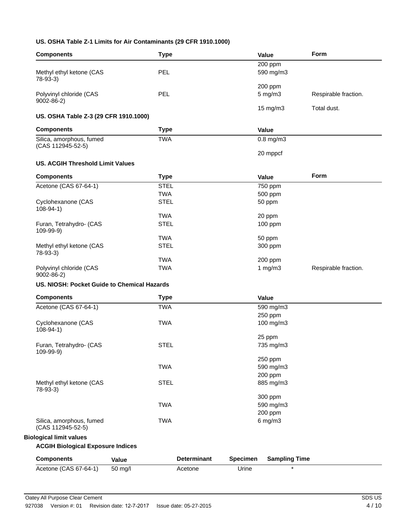## **US. OSHA Table Z-1 Limits for Air Contaminants (29 CFR 1910.1000)**

| <b>Components</b>                           | <b>Type</b> |                    |                 | Value                   | Form                 |
|---------------------------------------------|-------------|--------------------|-----------------|-------------------------|----------------------|
|                                             |             |                    |                 | 200 ppm                 |                      |
| Methyl ethyl ketone (CAS                    | PEL         |                    |                 | 590 mg/m3               |                      |
| 78-93-3)                                    |             |                    |                 |                         |                      |
| Polyvinyl chloride (CAS                     | PEL         |                    |                 | 200 ppm<br>$5$ mg/m $3$ |                      |
| $9002 - 86 - 2$                             |             |                    |                 |                         | Respirable fraction. |
|                                             |             |                    |                 | 15 mg/m3                | Total dust.          |
| US. OSHA Table Z-3 (29 CFR 1910.1000)       |             |                    |                 |                         |                      |
| <b>Components</b>                           | <b>Type</b> |                    |                 | Value                   |                      |
| Silica, amorphous, fumed                    | <b>TWA</b>  |                    |                 | $0.8$ mg/m $3$          |                      |
| (CAS 112945-52-5)                           |             |                    |                 |                         |                      |
|                                             |             |                    |                 | 20 mppcf                |                      |
| <b>US. ACGIH Threshold Limit Values</b>     |             |                    |                 |                         |                      |
| <b>Components</b>                           | <b>Type</b> |                    |                 | Value                   | Form                 |
| Acetone (CAS 67-64-1)                       | <b>STEL</b> |                    |                 | 750 ppm                 |                      |
|                                             | <b>TWA</b>  |                    |                 | 500 ppm                 |                      |
| Cyclohexanone (CAS                          | <b>STEL</b> |                    |                 | 50 ppm                  |                      |
| $108 - 94 - 1$                              |             |                    |                 |                         |                      |
|                                             | <b>TWA</b>  |                    |                 | 20 ppm                  |                      |
| Furan, Tetrahydro- (CAS<br>109-99-9)        | <b>STEL</b> |                    |                 | 100 ppm                 |                      |
|                                             | <b>TWA</b>  |                    |                 | 50 ppm                  |                      |
| Methyl ethyl ketone (CAS<br>$78-93-3)$      | <b>STEL</b> |                    |                 | 300 ppm                 |                      |
|                                             | <b>TWA</b>  |                    |                 | 200 ppm                 |                      |
| Polyvinyl chloride (CAS                     | <b>TWA</b>  |                    |                 | 1 $mg/m3$               | Respirable fraction. |
| $9002 - 86 - 2$                             |             |                    |                 |                         |                      |
| US. NIOSH: Pocket Guide to Chemical Hazards |             |                    |                 |                         |                      |
| <b>Components</b>                           | <b>Type</b> |                    |                 | Value                   |                      |
| Acetone (CAS 67-64-1)                       | <b>TWA</b>  |                    |                 | 590 mg/m3               |                      |
|                                             |             |                    |                 | 250 ppm                 |                      |
| Cyclohexanone (CAS<br>$108 - 94 - 1$        | <b>TWA</b>  |                    |                 | 100 mg/m3               |                      |
|                                             |             |                    |                 | 25 ppm                  |                      |
| Furan, Tetrahydro- (CAS<br>109-99-9)        | <b>STEL</b> |                    |                 | 735 mg/m3               |                      |
|                                             |             |                    |                 | 250 ppm                 |                      |
|                                             | <b>TWA</b>  |                    |                 | 590 mg/m3               |                      |
|                                             |             |                    |                 | 200 ppm                 |                      |
| Methyl ethyl ketone (CAS                    | <b>STEL</b> |                    |                 | 885 mg/m3               |                      |
| 78-93-3)                                    |             |                    |                 |                         |                      |
|                                             |             |                    |                 | 300 ppm                 |                      |
|                                             | <b>TWA</b>  |                    |                 | 590 mg/m3<br>200 ppm    |                      |
| Silica, amorphous, fumed                    | <b>TWA</b>  |                    |                 | $6$ mg/m $3$            |                      |
| (CAS 112945-52-5)                           |             |                    |                 |                         |                      |
| <b>Biological limit values</b>              |             |                    |                 |                         |                      |
| <b>ACGIH Biological Exposure Indices</b>    |             |                    |                 |                         |                      |
| <b>Components</b>                           | Value       | <b>Determinant</b> | <b>Specimen</b> | <b>Sampling Time</b>    |                      |
|                                             |             |                    |                 |                         |                      |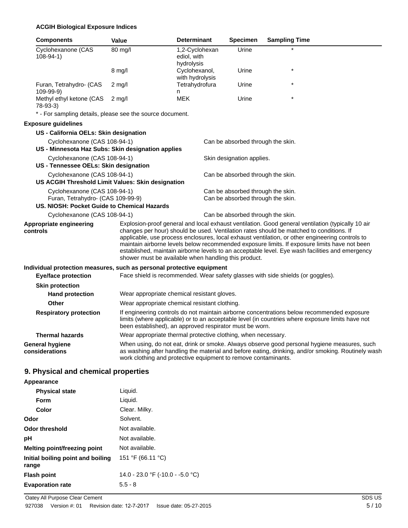## **ACGIH Biological Exposure Indices**

| <b>Components</b>                                                                                                | <b>Value</b>                                                   | <b>Determinant</b>                          | <b>Specimen</b>                                                        | <b>Sampling Time</b>                                                                                                                                                                                                                                                                                                                                                                          |
|------------------------------------------------------------------------------------------------------------------|----------------------------------------------------------------|---------------------------------------------|------------------------------------------------------------------------|-----------------------------------------------------------------------------------------------------------------------------------------------------------------------------------------------------------------------------------------------------------------------------------------------------------------------------------------------------------------------------------------------|
| Cyclohexanone (CAS<br>$108-94-1)$                                                                                | 80 mg/l                                                        | 1,2-Cyclohexan<br>ediol, with<br>hydrolysis | Urine                                                                  |                                                                                                                                                                                                                                                                                                                                                                                               |
|                                                                                                                  | $8 \text{ mg/l}$                                               | Cyclohexanol,<br>with hydrolysis            | Urine                                                                  |                                                                                                                                                                                                                                                                                                                                                                                               |
| Furan, Tetrahydro- (CAS<br>109-99-9)                                                                             | $2 \text{ mg/l}$                                               | Tetrahydrofura<br>n                         | Urine                                                                  |                                                                                                                                                                                                                                                                                                                                                                                               |
| Methyl ethyl ketone (CAS<br>$78-93-3$                                                                            | $2 \text{ mg/l}$                                               | <b>MEK</b>                                  | Urine                                                                  |                                                                                                                                                                                                                                                                                                                                                                                               |
| * - For sampling details, please see the source document.                                                        |                                                                |                                             |                                                                        |                                                                                                                                                                                                                                                                                                                                                                                               |
| <b>Exposure guidelines</b>                                                                                       |                                                                |                                             |                                                                        |                                                                                                                                                                                                                                                                                                                                                                                               |
| US - California OELs: Skin designation                                                                           |                                                                |                                             |                                                                        |                                                                                                                                                                                                                                                                                                                                                                                               |
| Cyclohexanone (CAS 108-94-1)                                                                                     |                                                                |                                             | Can be absorbed through the skin.                                      |                                                                                                                                                                                                                                                                                                                                                                                               |
| US - Minnesota Haz Subs: Skin designation applies                                                                |                                                                |                                             |                                                                        |                                                                                                                                                                                                                                                                                                                                                                                               |
| Cyclohexanone (CAS 108-94-1)<br>US - Tennessee OELs: Skin designation                                            |                                                                |                                             | Skin designation applies.                                              |                                                                                                                                                                                                                                                                                                                                                                                               |
| Cyclohexanone (CAS 108-94-1)<br>US ACGIH Threshold Limit Values: Skin designation                                |                                                                |                                             | Can be absorbed through the skin.                                      |                                                                                                                                                                                                                                                                                                                                                                                               |
| Cyclohexanone (CAS 108-94-1)<br>Furan, Tetrahydro- (CAS 109-99-9)<br>US. NIOSH: Pocket Guide to Chemical Hazards |                                                                |                                             | Can be absorbed through the skin.<br>Can be absorbed through the skin. |                                                                                                                                                                                                                                                                                                                                                                                               |
| Cyclohexanone (CAS 108-94-1)                                                                                     |                                                                |                                             | Can be absorbed through the skin.                                      |                                                                                                                                                                                                                                                                                                                                                                                               |
| Appropriate engineering                                                                                          |                                                                |                                             |                                                                        | Explosion-proof general and local exhaust ventilation. Good general ventilation (typically 10 air                                                                                                                                                                                                                                                                                             |
| controls                                                                                                         | shower must be available when handling this product.           |                                             |                                                                        | changes per hour) should be used. Ventilation rates should be matched to conditions. If<br>applicable, use process enclosures, local exhaust ventilation, or other engineering controls to<br>maintain airborne levels below recommended exposure limits. If exposure limits have not been<br>established, maintain airborne levels to an acceptable level. Eye wash facilities and emergency |
| Individual protection measures, such as personal protective equipment                                            |                                                                |                                             |                                                                        |                                                                                                                                                                                                                                                                                                                                                                                               |
| <b>Eye/face protection</b>                                                                                       |                                                                |                                             |                                                                        | Face shield is recommended. Wear safety glasses with side shields (or goggles).                                                                                                                                                                                                                                                                                                               |
| <b>Skin protection</b>                                                                                           |                                                                |                                             |                                                                        |                                                                                                                                                                                                                                                                                                                                                                                               |
| <b>Hand protection</b>                                                                                           | Wear appropriate chemical resistant gloves.                    |                                             |                                                                        |                                                                                                                                                                                                                                                                                                                                                                                               |
| <b>Other</b>                                                                                                     | Wear appropriate chemical resistant clothing.                  |                                             |                                                                        |                                                                                                                                                                                                                                                                                                                                                                                               |
| <b>Respiratory protection</b>                                                                                    | been established), an approved respirator must be worn.        |                                             |                                                                        | If engineering controls do not maintain airborne concentrations below recommended exposure<br>limits (where applicable) or to an acceptable level (in countries where exposure limits have not                                                                                                                                                                                                |
| <b>Thermal hazards</b>                                                                                           | Wear appropriate thermal protective clothing, when necessary.  |                                             |                                                                        |                                                                                                                                                                                                                                                                                                                                                                                               |
| <b>General hygiene</b><br>considerations                                                                         | work clothing and protective equipment to remove contaminants. |                                             |                                                                        | When using, do not eat, drink or smoke. Always observe good personal hygiene measures, such<br>as washing after handling the material and before eating, drinking, and/or smoking. Routinely wash                                                                                                                                                                                             |

## **9. Physical and chemical properties**

## **Appearance**

| Liquid.                          |
|----------------------------------|
| Liquid.                          |
| Clear. Milky.                    |
| Solvent.                         |
| Not available.                   |
| Not available.                   |
| Not available.                   |
| 151 °F (66.11 °C)                |
| 14.0 - 23.0 °F (-10.0 - -5.0 °C) |
| $5.5 - 8$                        |
|                                  |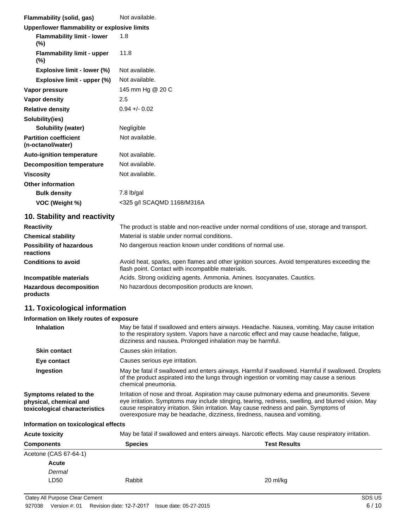| Flammability (solid, gas)                         | Not available.             |
|---------------------------------------------------|----------------------------|
| Upper/lower flammability or explosive limits      |                            |
| <b>Flammability limit - lower</b><br>$(\%)$       | 1.8                        |
| <b>Flammability limit - upper</b><br>$(\%)$       | 11.8                       |
| Explosive limit - lower (%)                       | Not available.             |
| Explosive limit - upper (%)                       | Not available.             |
| Vapor pressure                                    | 145 mm Hg @ 20 C           |
| Vapor density                                     | 2.5                        |
| <b>Relative density</b>                           | $0.94 + 0.02$              |
| Solubility(ies)                                   |                            |
| Solubility (water)                                | Negligible                 |
| <b>Partition coefficient</b><br>(n-octanol/water) | Not available.             |
| <b>Auto-ignition temperature</b>                  | Not available.             |
| <b>Decomposition temperature</b>                  | Not available.             |
| <b>Viscosity</b>                                  | Not available.             |
| <b>Other information</b>                          |                            |
| <b>Bulk density</b>                               | 7.8 lb/gal                 |
| VOC (Weight %)                                    | <325 g/l SCAQMD 1168/M316A |

## **10. Stability and reactivity**

| <b>Reactivity</b>                            | The product is stable and non-reactive under normal conditions of use, storage and transport.                                                     |
|----------------------------------------------|---------------------------------------------------------------------------------------------------------------------------------------------------|
| <b>Chemical stability</b>                    | Material is stable under normal conditions.                                                                                                       |
| <b>Possibility of hazardous</b><br>reactions | No dangerous reaction known under conditions of normal use.                                                                                       |
| <b>Conditions to avoid</b>                   | Avoid heat, sparks, open flames and other ignition sources. Avoid temperatures exceeding the<br>flash point. Contact with incompatible materials. |
| Incompatible materials                       | Acids. Strong oxidizing agents. Ammonia. Amines. Isocyanates. Caustics.                                                                           |
| <b>Hazardous decomposition</b><br>products   | No hazardous decomposition products are known.                                                                                                    |

## **11. Toxicological information**

## **Information on likely routes of exposure**

| <b>Inhalation</b>                                                                  | May be fatal if swallowed and enters airways. Headache. Nausea, vomiting. May cause irritation<br>to the respiratory system. Vapors have a narcotic effect and may cause headache, fatigue,<br>dizziness and nausea. Prolonged inhalation may be harmful.                                                                                                               |
|------------------------------------------------------------------------------------|-------------------------------------------------------------------------------------------------------------------------------------------------------------------------------------------------------------------------------------------------------------------------------------------------------------------------------------------------------------------------|
| <b>Skin contact</b>                                                                | Causes skin irritation.                                                                                                                                                                                                                                                                                                                                                 |
| Eye contact                                                                        | Causes serious eye irritation.                                                                                                                                                                                                                                                                                                                                          |
| Ingestion                                                                          | May be fatal if swallowed and enters airways. Harmful if swallowed. Harmful if swallowed. Droplets<br>of the product aspirated into the lungs through ingestion or vomiting may cause a serious<br>chemical pneumonia.                                                                                                                                                  |
| Symptoms related to the<br>physical, chemical and<br>toxicological characteristics | Irritation of nose and throat. Aspiration may cause pulmonary edema and pneumonitis. Severe<br>eye irritation. Symptoms may include stinging, tearing, redness, swelling, and blurred vision. May<br>cause respiratory irritation. Skin irritation. May cause redness and pain. Symptoms of<br>overexposure may be headache, dizziness, tiredness, nausea and vomiting. |
|                                                                                    |                                                                                                                                                                                                                                                                                                                                                                         |

## **Information on toxicological effects**

| <b>Acute toxicity</b> | May be fatal if swallowed and enters airways. Narcotic effects. May cause respiratory irritation. |                     |  |
|-----------------------|---------------------------------------------------------------------------------------------------|---------------------|--|
| <b>Components</b>     | <b>Species</b>                                                                                    | <b>Test Results</b> |  |
| Acetone (CAS 67-64-1) |                                                                                                   |                     |  |
| <b>Acute</b>          |                                                                                                   |                     |  |
| Dermal                |                                                                                                   |                     |  |
| LD50                  | Rabbit                                                                                            | 20 ml/kg            |  |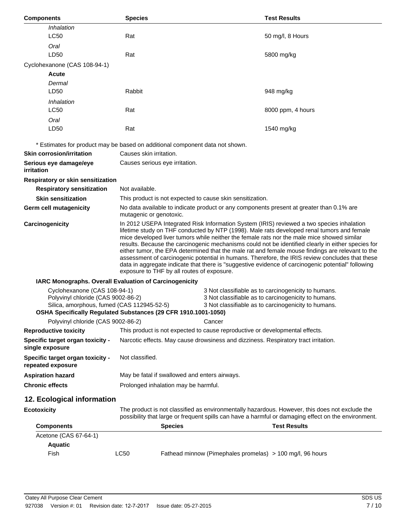| <b>Components</b>                                                                                                | <b>Species</b>                                                                                                                                                                                                                                                                                                                                                                                                                                                                                                                                                                                                                                                                                                                                         |        | <b>Test Results</b>                                                                                                                                               |
|------------------------------------------------------------------------------------------------------------------|--------------------------------------------------------------------------------------------------------------------------------------------------------------------------------------------------------------------------------------------------------------------------------------------------------------------------------------------------------------------------------------------------------------------------------------------------------------------------------------------------------------------------------------------------------------------------------------------------------------------------------------------------------------------------------------------------------------------------------------------------------|--------|-------------------------------------------------------------------------------------------------------------------------------------------------------------------|
| Inhalation                                                                                                       |                                                                                                                                                                                                                                                                                                                                                                                                                                                                                                                                                                                                                                                                                                                                                        |        |                                                                                                                                                                   |
| <b>LC50</b>                                                                                                      | Rat                                                                                                                                                                                                                                                                                                                                                                                                                                                                                                                                                                                                                                                                                                                                                    |        | 50 mg/l, 8 Hours                                                                                                                                                  |
| Oral                                                                                                             |                                                                                                                                                                                                                                                                                                                                                                                                                                                                                                                                                                                                                                                                                                                                                        |        |                                                                                                                                                                   |
| LD50                                                                                                             | Rat                                                                                                                                                                                                                                                                                                                                                                                                                                                                                                                                                                                                                                                                                                                                                    |        | 5800 mg/kg                                                                                                                                                        |
| Cyclohexanone (CAS 108-94-1)                                                                                     |                                                                                                                                                                                                                                                                                                                                                                                                                                                                                                                                                                                                                                                                                                                                                        |        |                                                                                                                                                                   |
| <b>Acute</b>                                                                                                     |                                                                                                                                                                                                                                                                                                                                                                                                                                                                                                                                                                                                                                                                                                                                                        |        |                                                                                                                                                                   |
| Dermal                                                                                                           |                                                                                                                                                                                                                                                                                                                                                                                                                                                                                                                                                                                                                                                                                                                                                        |        |                                                                                                                                                                   |
| LD50                                                                                                             | Rabbit                                                                                                                                                                                                                                                                                                                                                                                                                                                                                                                                                                                                                                                                                                                                                 |        | 948 mg/kg                                                                                                                                                         |
| Inhalation                                                                                                       |                                                                                                                                                                                                                                                                                                                                                                                                                                                                                                                                                                                                                                                                                                                                                        |        |                                                                                                                                                                   |
| <b>LC50</b>                                                                                                      | Rat                                                                                                                                                                                                                                                                                                                                                                                                                                                                                                                                                                                                                                                                                                                                                    |        | 8000 ppm, 4 hours                                                                                                                                                 |
| Oral                                                                                                             |                                                                                                                                                                                                                                                                                                                                                                                                                                                                                                                                                                                                                                                                                                                                                        |        |                                                                                                                                                                   |
| LD50                                                                                                             | Rat                                                                                                                                                                                                                                                                                                                                                                                                                                                                                                                                                                                                                                                                                                                                                    |        | 1540 mg/kg                                                                                                                                                        |
|                                                                                                                  | * Estimates for product may be based on additional component data not shown.                                                                                                                                                                                                                                                                                                                                                                                                                                                                                                                                                                                                                                                                           |        |                                                                                                                                                                   |
| <b>Skin corrosion/irritation</b>                                                                                 | Causes skin irritation.                                                                                                                                                                                                                                                                                                                                                                                                                                                                                                                                                                                                                                                                                                                                |        |                                                                                                                                                                   |
| Serious eye damage/eye<br>irritation                                                                             | Causes serious eye irritation.                                                                                                                                                                                                                                                                                                                                                                                                                                                                                                                                                                                                                                                                                                                         |        |                                                                                                                                                                   |
| Respiratory or skin sensitization                                                                                |                                                                                                                                                                                                                                                                                                                                                                                                                                                                                                                                                                                                                                                                                                                                                        |        |                                                                                                                                                                   |
| <b>Respiratory sensitization</b>                                                                                 | Not available.                                                                                                                                                                                                                                                                                                                                                                                                                                                                                                                                                                                                                                                                                                                                         |        |                                                                                                                                                                   |
| <b>Skin sensitization</b>                                                                                        | This product is not expected to cause skin sensitization.                                                                                                                                                                                                                                                                                                                                                                                                                                                                                                                                                                                                                                                                                              |        |                                                                                                                                                                   |
| Germ cell mutagenicity                                                                                           | No data available to indicate product or any components present at greater than 0.1% are<br>mutagenic or genotoxic.                                                                                                                                                                                                                                                                                                                                                                                                                                                                                                                                                                                                                                    |        |                                                                                                                                                                   |
| Carcinogenicity                                                                                                  | In 2012 USEPA Integrated Risk Information System (IRIS) reviewed a two species inhalation<br>lifetime study on THF conducted by NTP (1998). Male rats developed renal tumors and female<br>mice developed liver tumors while neither the female rats nor the male mice showed similar<br>results. Because the carcinogenic mechanisms could not be identified clearly in either species for<br>either tumor, the EPA determined that the male rat and female mouse findings are relevant to the<br>assessment of carcinogenic potential in humans. Therefore, the IRIS review concludes that these<br>data in aggregate indicate that there is "suggestive evidence of carcinogenic potential" following<br>exposure to THF by all routes of exposure. |        |                                                                                                                                                                   |
|                                                                                                                  | IARC Monographs. Overall Evaluation of Carcinogenicity                                                                                                                                                                                                                                                                                                                                                                                                                                                                                                                                                                                                                                                                                                 |        |                                                                                                                                                                   |
| Cyclohexanone (CAS 108-94-1)<br>Polyvinyl chloride (CAS 9002-86-2)<br>Silica, amorphous, fumed (CAS 112945-52-5) | OSHA Specifically Regulated Substances (29 CFR 1910.1001-1050)                                                                                                                                                                                                                                                                                                                                                                                                                                                                                                                                                                                                                                                                                         |        | 3 Not classifiable as to carcinogenicity to humans.<br>3 Not classifiable as to carcinogenicity to humans.<br>3 Not classifiable as to carcinogenicity to humans. |
| Polyvinyl chloride (CAS 9002-86-2)                                                                               |                                                                                                                                                                                                                                                                                                                                                                                                                                                                                                                                                                                                                                                                                                                                                        | Cancer |                                                                                                                                                                   |
| <b>Reproductive toxicity</b>                                                                                     | This product is not expected to cause reproductive or developmental effects.                                                                                                                                                                                                                                                                                                                                                                                                                                                                                                                                                                                                                                                                           |        |                                                                                                                                                                   |
| Specific target organ toxicity -<br>single exposure                                                              | Narcotic effects. May cause drowsiness and dizziness. Respiratory tract irritation.                                                                                                                                                                                                                                                                                                                                                                                                                                                                                                                                                                                                                                                                    |        |                                                                                                                                                                   |
| Specific target organ toxicity -<br>repeated exposure                                                            | Not classified.                                                                                                                                                                                                                                                                                                                                                                                                                                                                                                                                                                                                                                                                                                                                        |        |                                                                                                                                                                   |
| <b>Aspiration hazard</b>                                                                                         | May be fatal if swallowed and enters airways.                                                                                                                                                                                                                                                                                                                                                                                                                                                                                                                                                                                                                                                                                                          |        |                                                                                                                                                                   |
| <b>Chronic effects</b>                                                                                           | Prolonged inhalation may be harmful.                                                                                                                                                                                                                                                                                                                                                                                                                                                                                                                                                                                                                                                                                                                   |        |                                                                                                                                                                   |
| 12. Ecological information                                                                                       |                                                                                                                                                                                                                                                                                                                                                                                                                                                                                                                                                                                                                                                                                                                                                        |        |                                                                                                                                                                   |
| <b>Ecotoxicity</b>                                                                                               | The product is not classified as environmentally hazardous. However, this does not exclude the<br>possibility that large or frequent spills can have a harmful or damaging effect on the environment.                                                                                                                                                                                                                                                                                                                                                                                                                                                                                                                                                  |        |                                                                                                                                                                   |
| <b>Components</b>                                                                                                | <b>Species</b>                                                                                                                                                                                                                                                                                                                                                                                                                                                                                                                                                                                                                                                                                                                                         |        | <b>Test Results</b>                                                                                                                                               |
| Acetone (CAS 67-64-1)                                                                                            |                                                                                                                                                                                                                                                                                                                                                                                                                                                                                                                                                                                                                                                                                                                                                        |        |                                                                                                                                                                   |
| <b>Aquatic</b>                                                                                                   |                                                                                                                                                                                                                                                                                                                                                                                                                                                                                                                                                                                                                                                                                                                                                        |        |                                                                                                                                                                   |
| Fish                                                                                                             | <b>LC50</b>                                                                                                                                                                                                                                                                                                                                                                                                                                                                                                                                                                                                                                                                                                                                            |        | Fathead minnow (Pimephales promelas) > 100 mg/l, 96 hours                                                                                                         |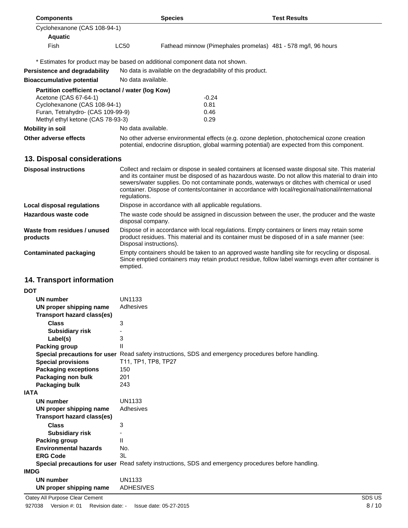| <b>Components</b>                                                                                                                                                                    |                                                                                                                                                                                                                        | <b>Species</b>                                             | <b>Test Results</b>                                                                                                                                                                                                                                                                                                                                                                                          |  |  |
|--------------------------------------------------------------------------------------------------------------------------------------------------------------------------------------|------------------------------------------------------------------------------------------------------------------------------------------------------------------------------------------------------------------------|------------------------------------------------------------|--------------------------------------------------------------------------------------------------------------------------------------------------------------------------------------------------------------------------------------------------------------------------------------------------------------------------------------------------------------------------------------------------------------|--|--|
| Cyclohexanone (CAS 108-94-1)                                                                                                                                                         |                                                                                                                                                                                                                        |                                                            |                                                                                                                                                                                                                                                                                                                                                                                                              |  |  |
| <b>Aquatic</b>                                                                                                                                                                       |                                                                                                                                                                                                                        |                                                            |                                                                                                                                                                                                                                                                                                                                                                                                              |  |  |
| Fish                                                                                                                                                                                 | <b>LC50</b>                                                                                                                                                                                                            |                                                            | Fathead minnow (Pimephales promelas) 481 - 578 mg/l, 96 hours                                                                                                                                                                                                                                                                                                                                                |  |  |
| * Estimates for product may be based on additional component data not shown.                                                                                                         |                                                                                                                                                                                                                        |                                                            |                                                                                                                                                                                                                                                                                                                                                                                                              |  |  |
| <b>Persistence and degradability</b>                                                                                                                                                 |                                                                                                                                                                                                                        | No data is available on the degradability of this product. |                                                                                                                                                                                                                                                                                                                                                                                                              |  |  |
| <b>Bioaccumulative potential</b>                                                                                                                                                     | No data available.                                                                                                                                                                                                     |                                                            |                                                                                                                                                                                                                                                                                                                                                                                                              |  |  |
| Partition coefficient n-octanol / water (log Kow)<br>Acetone (CAS 67-64-1)<br>Cyclohexanone (CAS 108-94-1)<br>Furan, Tetrahydro- (CAS 109-99-9)<br>Methyl ethyl ketone (CAS 78-93-3) |                                                                                                                                                                                                                        | $-0.24$<br>0.81<br>0.46<br>0.29                            |                                                                                                                                                                                                                                                                                                                                                                                                              |  |  |
| <b>Mobility in soil</b>                                                                                                                                                              | No data available.                                                                                                                                                                                                     |                                                            |                                                                                                                                                                                                                                                                                                                                                                                                              |  |  |
| Other adverse effects                                                                                                                                                                | No other adverse environmental effects (e.g. ozone depletion, photochemical ozone creation<br>potential, endocrine disruption, global warming potential) are expected from this component.                             |                                                            |                                                                                                                                                                                                                                                                                                                                                                                                              |  |  |
| 13. Disposal considerations                                                                                                                                                          |                                                                                                                                                                                                                        |                                                            |                                                                                                                                                                                                                                                                                                                                                                                                              |  |  |
| <b>Disposal instructions</b>                                                                                                                                                         | regulations.                                                                                                                                                                                                           |                                                            | Collect and reclaim or dispose in sealed containers at licensed waste disposal site. This material<br>and its container must be disposed of as hazardous waste. Do not allow this material to drain into<br>sewers/water supplies. Do not contaminate ponds, waterways or ditches with chemical or used<br>container. Dispose of contents/container in accordance with local/regional/national/international |  |  |
| <b>Local disposal regulations</b>                                                                                                                                                    | Dispose in accordance with all applicable regulations.                                                                                                                                                                 |                                                            |                                                                                                                                                                                                                                                                                                                                                                                                              |  |  |
| Hazardous waste code                                                                                                                                                                 | The waste code should be assigned in discussion between the user, the producer and the waste<br>disposal company.                                                                                                      |                                                            |                                                                                                                                                                                                                                                                                                                                                                                                              |  |  |
| Waste from residues / unused<br>products                                                                                                                                             | Dispose of in accordance with local regulations. Empty containers or liners may retain some<br>product residues. This material and its container must be disposed of in a safe manner (see:<br>Disposal instructions). |                                                            |                                                                                                                                                                                                                                                                                                                                                                                                              |  |  |
| <b>Contaminated packaging</b>                                                                                                                                                        | emptied.                                                                                                                                                                                                               |                                                            | Empty containers should be taken to an approved waste handling site for recycling or disposal.<br>Since emptied containers may retain product residue, follow label warnings even after container is                                                                                                                                                                                                         |  |  |
| 14. Transport information                                                                                                                                                            |                                                                                                                                                                                                                        |                                                            |                                                                                                                                                                                                                                                                                                                                                                                                              |  |  |
| <b>DOT</b>                                                                                                                                                                           |                                                                                                                                                                                                                        |                                                            |                                                                                                                                                                                                                                                                                                                                                                                                              |  |  |
| <b>UN number</b>                                                                                                                                                                     | UN1133                                                                                                                                                                                                                 |                                                            |                                                                                                                                                                                                                                                                                                                                                                                                              |  |  |
| UN proper shipping name                                                                                                                                                              | Adhesives                                                                                                                                                                                                              |                                                            |                                                                                                                                                                                                                                                                                                                                                                                                              |  |  |
| <b>Transport hazard class(es)</b>                                                                                                                                                    |                                                                                                                                                                                                                        |                                                            |                                                                                                                                                                                                                                                                                                                                                                                                              |  |  |
| <b>Class</b>                                                                                                                                                                         | 3                                                                                                                                                                                                                      |                                                            |                                                                                                                                                                                                                                                                                                                                                                                                              |  |  |
| <b>Subsidiary risk</b>                                                                                                                                                               |                                                                                                                                                                                                                        |                                                            |                                                                                                                                                                                                                                                                                                                                                                                                              |  |  |
| Label(s)<br><b>Packing group</b>                                                                                                                                                     | 3<br>Ш                                                                                                                                                                                                                 |                                                            |                                                                                                                                                                                                                                                                                                                                                                                                              |  |  |
|                                                                                                                                                                                      |                                                                                                                                                                                                                        |                                                            | Special precautions for user Read safety instructions, SDS and emergency procedures before handling.                                                                                                                                                                                                                                                                                                         |  |  |
| <b>Special provisions</b>                                                                                                                                                            | T11, TP1, TP8, TP27                                                                                                                                                                                                    |                                                            |                                                                                                                                                                                                                                                                                                                                                                                                              |  |  |
| <b>Packaging exceptions</b>                                                                                                                                                          | 150                                                                                                                                                                                                                    |                                                            |                                                                                                                                                                                                                                                                                                                                                                                                              |  |  |
| Packaging non bulk                                                                                                                                                                   | 201                                                                                                                                                                                                                    |                                                            |                                                                                                                                                                                                                                                                                                                                                                                                              |  |  |
| Packaging bulk<br>IATA                                                                                                                                                               | 243                                                                                                                                                                                                                    |                                                            |                                                                                                                                                                                                                                                                                                                                                                                                              |  |  |

| Packaging non bulk           | 201                                                                                                  |
|------------------------------|------------------------------------------------------------------------------------------------------|
| Packaging bulk               | 243                                                                                                  |
| <b>IATA</b>                  |                                                                                                      |
| UN number                    | UN1133                                                                                               |
| UN proper shipping name      | Adhesives                                                                                            |
| Transport hazard class(es)   |                                                                                                      |
| <b>Class</b>                 | 3                                                                                                    |
| <b>Subsidiary risk</b>       |                                                                                                      |
| <b>Packing group</b>         | Ш                                                                                                    |
| <b>Environmental hazards</b> | No.                                                                                                  |
| <b>ERG Code</b>              | 3L                                                                                                   |
|                              | Special precautions for user Read safety instructions, SDS and emergency procedures before handling. |
| <b>IMDG</b>                  |                                                                                                      |
| UN number                    | UN1133                                                                                               |
|                              |                                                                                                      |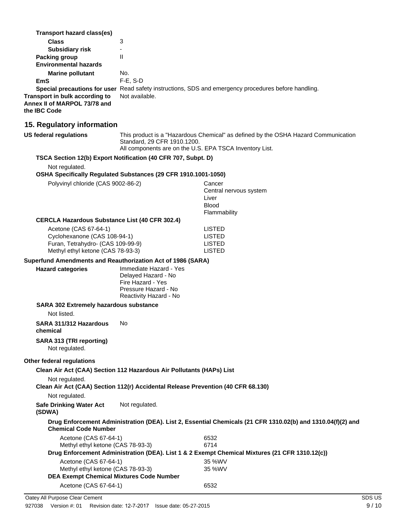| Transport hazard class(es)<br><b>Class</b><br><b>Subsidiary risk</b><br>Packing group<br><b>Environmental hazards</b><br><b>Marine pollutant</b><br><b>EmS</b><br>Transport in bulk according to<br>Annex II of MARPOL 73/78 and | 3<br>÷.<br>$\mathbf{H}$<br>No.<br>F-E, S-D<br>Not available.                                                                                                                 | Special precautions for user Read safety instructions, SDS and emergency procedures before handling.           |
|----------------------------------------------------------------------------------------------------------------------------------------------------------------------------------------------------------------------------------|------------------------------------------------------------------------------------------------------------------------------------------------------------------------------|----------------------------------------------------------------------------------------------------------------|
| the IBC Code                                                                                                                                                                                                                     |                                                                                                                                                                              |                                                                                                                |
| 15. Regulatory information                                                                                                                                                                                                       |                                                                                                                                                                              |                                                                                                                |
| <b>US federal regulations</b>                                                                                                                                                                                                    | This product is a "Hazardous Chemical" as defined by the OSHA Hazard Communication<br>Standard, 29 CFR 1910.1200.<br>All components are on the U.S. EPA TSCA Inventory List. |                                                                                                                |
| TSCA Section 12(b) Export Notification (40 CFR 707, Subpt. D)<br>Not regulated.<br>OSHA Specifically Regulated Substances (29 CFR 1910.1001-1050)                                                                                |                                                                                                                                                                              |                                                                                                                |
| Polyvinyl chloride (CAS 9002-86-2)                                                                                                                                                                                               |                                                                                                                                                                              | Cancer<br>Central nervous system<br>Liver<br><b>Blood</b><br>Flammability                                      |
| <b>CERCLA Hazardous Substance List (40 CFR 302.4)</b><br>Acetone (CAS 67-64-1)<br>Cyclohexanone (CAS 108-94-1)<br>Furan, Tetrahydro- (CAS 109-99-9)<br>Methyl ethyl ketone (CAS 78-93-3)                                         |                                                                                                                                                                              | <b>LISTED</b><br><b>LISTED</b><br><b>LISTED</b><br><b>LISTED</b>                                               |
| Superfund Amendments and Reauthorization Act of 1986 (SARA)<br><b>Hazard categories</b>                                                                                                                                          | Immediate Hazard - Yes<br>Delayed Hazard - No<br>Fire Hazard - Yes<br>Pressure Hazard - No<br>Reactivity Hazard - No                                                         |                                                                                                                |
| <b>SARA 302 Extremely hazardous substance</b>                                                                                                                                                                                    |                                                                                                                                                                              |                                                                                                                |
| Not listed.                                                                                                                                                                                                                      |                                                                                                                                                                              |                                                                                                                |
| SARA 311/312 Hazardous<br>chemical                                                                                                                                                                                               | No                                                                                                                                                                           |                                                                                                                |
| <b>SARA 313 (TRI reporting)</b><br>Not regulated.                                                                                                                                                                                |                                                                                                                                                                              |                                                                                                                |
| Other federal regulations<br>Clean Air Act (CAA) Section 112 Hazardous Air Pollutants (HAPs) List<br>Not regulated.                                                                                                              |                                                                                                                                                                              |                                                                                                                |
| Clean Air Act (CAA) Section 112(r) Accidental Release Prevention (40 CFR 68.130)<br>Not regulated.                                                                                                                               |                                                                                                                                                                              |                                                                                                                |
| <b>Safe Drinking Water Act</b><br>(SDWA)                                                                                                                                                                                         | Not regulated.                                                                                                                                                               |                                                                                                                |
| <b>Chemical Code Number</b>                                                                                                                                                                                                      |                                                                                                                                                                              | Drug Enforcement Administration (DEA). List 2, Essential Chemicals (21 CFR 1310.02(b) and 1310.04(f)(2) and    |
| Acetone (CAS 67-64-1)<br>Methyl ethyl ketone (CAS 78-93-3)                                                                                                                                                                       |                                                                                                                                                                              | 6532<br>6714<br>Drug Enforcement Administration (DEA). List 1 & 2 Exempt Chemical Mixtures (21 CFR 1310.12(c)) |
| Acetone (CAS 67-64-1)<br>Methyl ethyl ketone (CAS 78-93-3)<br><b>DEA Exempt Chemical Mixtures Code Number</b>                                                                                                                    |                                                                                                                                                                              | 35 %WV<br>35 %WV                                                                                               |
| Acetone (CAS 67-64-1)                                                                                                                                                                                                            |                                                                                                                                                                              | 6532                                                                                                           |